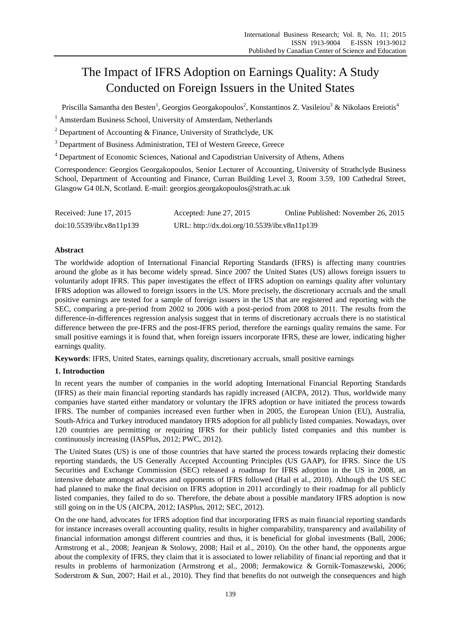# The Impact of IFRS Adoption on Earnings Quality: A Study Conducted on Foreign Issuers in the United States

Priscilla Samantha den Besten<sup>1</sup>, Georgios Georgakopoulos<sup>2</sup>, Konstantinos Z. Vasileiou<sup>3</sup> & Nikolaos Ereiotis<sup>4</sup>

- <sup>1</sup> Amsterdam Business School, University of Amsterdam, Netherlands
- <sup>2</sup> Department of Accounting & Finance, University of Strathclyde, UK
- <sup>3</sup> Department of Business Administration, TEI of Western Greece, Greece

<sup>4</sup> Department of Economic Sciences, National and Capodistrian University of Athens, Athens

Correspondence: Georgios Georgakopoulos, Senior Lecturer of Accounting, University of Strathclyde Business School, Department of Accounting and Finance, Curran Building Level 3, Room 3.59, 100 Cathedral Street, Glasgow G4 0LN, Scotland. E-mail: georgios.georgakopoulos@strath.ac.uk

| Received: June $17, 2015$ | Accepted: June $27, 2015$                    | Online Published: November 26, 2015 |
|---------------------------|----------------------------------------------|-------------------------------------|
| doi:10.5539/ibr.v8n11p139 | URL: http://dx.doi.org/10.5539/ibr.v8n11p139 |                                     |

## **Abstract**

The worldwide adoption of International Financial Reporting Standards (IFRS) is affecting many countries around the globe as it has become widely spread. Since 2007 the United States (US) allows foreign issuers to voluntarily adopt IFRS. This paper investigates the effect of IFRS adoption on earnings quality after voluntary IFRS adoption was allowed to foreign issuers in the US. More precisely, the discretionary accruals and the small positive earnings are tested for a sample of foreign issuers in the US that are registered and reporting with the SEC, comparing a pre-period from 2002 to 2006 with a post-period from 2008 to 2011. The results from the difference-in-differences regression analysis suggest that in terms of discretionary accruals there is no statistical difference between the pre-IFRS and the post-IFRS period, therefore the earnings quality remains the same. For small positive earnings it is found that, when foreign issuers incorporate IFRS, these are lower, indicating higher earnings quality.

**Keywords**: IFRS, United States, earnings quality, discretionary accruals, small positive earnings

## **1. Introduction**

In recent years the number of companies in the world adopting International Financial Reporting Standards (IFRS) as their main financial reporting standards has rapidly increased (AICPA, 2012). Thus, worldwide many companies have started either mandatory or voluntary the IFRS adoption or have initiated the process towards IFRS. The number of companies increased even further when in 2005, the European Union (EU), Australia, South-Africa and Turkey introduced mandatory IFRS adoption for all publicly listed companies. Nowadays, over 120 countries are permitting or requiring IFRS for their publicly listed companies and this number is continuously increasing (IASPlus, 2012; PWC, 2012).

The United States (US) is one of those countries that have started the process towards replacing their domestic reporting standards, the US Generally Accepted Accounting Principles (US GAAP), for IFRS. Since the US Securities and Exchange Commission (SEC) released a roadmap for IFRS adoption in the US in 2008, an intensive debate amongst advocates and opponents of IFRS followed (Hail et al., 2010). Although the US SEC had planned to make the final decision on IFRS adoption in 2011 accordingly to their roadmap for all publicly listed companies, they failed to do so. Therefore, the debate about a possible mandatory IFRS adoption is now still going on in the US (AICPA, 2012; IASPlus, 2012; SEC, 2012).

On the one hand, advocates for IFRS adoption find that incorporating IFRS as main financial reporting standards for instance increases overall accounting quality, results in higher comparability, transparency and availability of financial information amongst different countries and thus, it is beneficial for global investments (Ball, 2006; Armstrong et al., 2008; Jeanjean & Stolowy, 2008; Hail et al., 2010). On the other hand, the opponents argue about the complexity of IFRS, they claim that it is associated to lower reliability of financial reporting and that it results in problems of harmonization (Armstrong et al., 2008; Jermakowicz & Gornik-Tomaszewski, 2006; Soderstrom & Sun, 2007; Hail et al., 2010). They find that benefits do not outweigh the consequences and high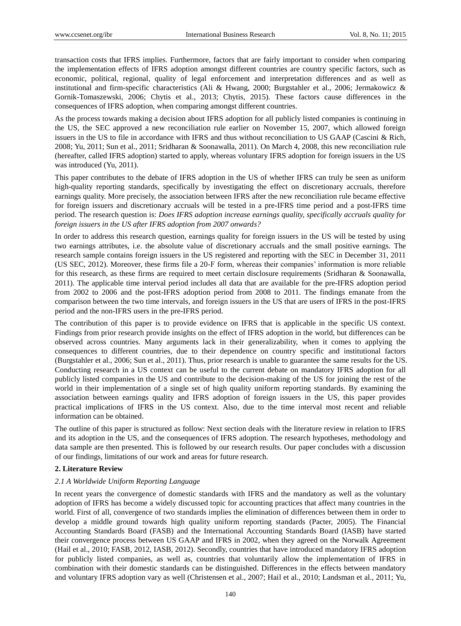transaction costs that IFRS implies. Furthermore, factors that are fairly important to consider when comparing the implementation effects of IFRS adoption amongst different countries are country specific factors, such as economic, political, regional, quality of legal enforcement and interpretation differences and as well as institutional and firm-specific characteristics (Ali & Hwang, 2000; Burgstahler et al., 2006; Jermakowicz & Gornik-Tomaszewski, 2006; Chytis et al., 2013; Chytis, 2015). These factors cause differences in the consequences of IFRS adoption, when comparing amongst different countries.

As the process towards making a decision about IFRS adoption for all publicly listed companies is continuing in the US, the SEC approved a new reconciliation rule earlier on November 15, 2007, which allowed foreign issuers in the US to file in accordance with IFRS and thus without reconciliation to US GAAP (Cascini & Rich, 2008; Yu, 2011; Sun et al., 2011; Sridharan & Soonawalla, 2011). On March 4, 2008, this new reconciliation rule (hereafter, called IFRS adoption) started to apply, whereas voluntary IFRS adoption for foreign issuers in the US was introduced (Yu, 2011).

This paper contributes to the debate of IFRS adoption in the US of whether IFRS can truly be seen as uniform high-quality reporting standards, specifically by investigating the effect on discretionary accruals, therefore earnings quality. More precisely, the association between IFRS after the new reconciliation rule became effective for foreign issuers and discretionary accruals will be tested in a pre-IFRS time period and a post-IFRS time period. The research question is: *Does IFRS adoption increase earnings quality, specifically accruals quality for foreign issuers in the US after IFRS adoption from 2007 onwards?*

In order to address this research question, earnings quality for foreign issuers in the US will be tested by using two earnings attributes, i.e. the absolute value of discretionary accruals and the small positive earnings. The research sample contains foreign issuers in the US registered and reporting with the SEC in December 31, 2011 (US SEC, 2012). Moreover, these firms file a 20-F form, whereas their companies' information is more reliable for this research, as these firms are required to meet certain disclosure requirements (Sridharan & Soonawalla, 2011). The applicable time interval period includes all data that are available for the pre-IFRS adoption period from 2002 to 2006 and the post-IFRS adoption period from 2008 to 2011. The findings emanate from the comparison between the two time intervals, and foreign issuers in the US that are users of IFRS in the post-IFRS period and the non-IFRS users in the pre-IFRS period.

The contribution of this paper is to provide evidence on IFRS that is applicable in the specific US context. Findings from prior research provide insights on the effect of IFRS adoption in the world, but differences can be observed across countries. Many arguments lack in their generalizability, when it comes to applying the consequences to different countries, due to their dependence on country specific and institutional factors (Burgstahler et al., 2006; Sun et al., 2011). Thus, prior research is unable to guarantee the same results for the US. Conducting research in a US context can be useful to the current debate on mandatory IFRS adoption for all publicly listed companies in the US and contribute to the decision-making of the US for joining the rest of the world in their implementation of a single set of high quality uniform reporting standards. By examining the association between earnings quality and IFRS adoption of foreign issuers in the US, this paper provides practical implications of IFRS in the US context. Also, due to the time interval most recent and reliable information can be obtained.

The outline of this paper is structured as follow: Next section deals with the literature review in relation to IFRS and its adoption in the US, and the consequences of IFRS adoption. The research hypotheses, methodology and data sample are then presented. This is followed by our research results. Our paper concludes with a discussion of our findings, limitations of our work and areas for future research.

## **2. Literature Review**

## *2.1 A Worldwide Uniform Reporting Language*

In recent years the convergence of domestic standards with IFRS and the mandatory as well as the voluntary adoption of IFRS has become a widely discussed topic for accounting practices that affect many countries in the world. First of all, convergence of two standards implies the elimination of differences between them in order to develop a middle ground towards high quality uniform reporting standards (Pacter, 2005). The Financial Accounting Standards Board (FASB) and the International Accounting Standards Board (IASB) have started their convergence process between US GAAP and IFRS in 2002, when they agreed on the Norwalk Agreement (Hail et al., 2010; FASB, 2012, IASB, 2012). Secondly, countries that have introduced mandatory IFRS adoption for publicly listed companies, as well as, countries that voluntarily allow the implementation of IFRS in combination with their domestic standards can be distinguished. Differences in the effects between mandatory and voluntary IFRS adoption vary as well (Christensen et al., 2007; Hail et al., 2010; Landsman et al., 2011; Yu,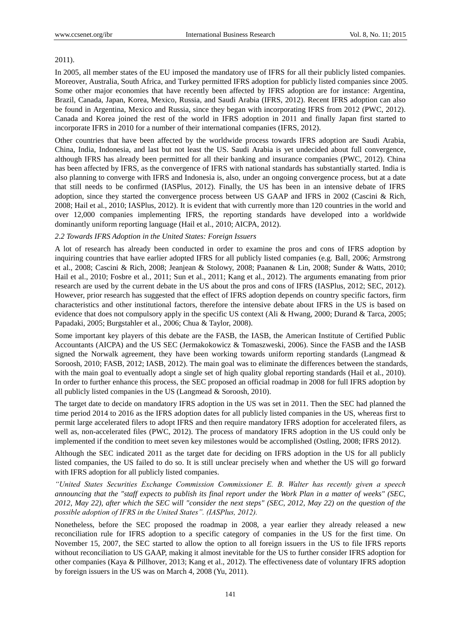### 2011).

In 2005, all member states of the EU imposed the mandatory use of IFRS for all their publicly listed companies. Moreover, Australia, South Africa, and Turkey permitted IFRS adoption for publicly listed companies since 2005. Some other major economies that have recently been affected by IFRS adoption are for instance: Argentina, Brazil, Canada, Japan, Korea, Mexico, Russia, and Saudi Arabia (IFRS, 2012). Recent IFRS adoption can also be found in Argentina, Mexico and Russia, since they began with incorporating IFRS from 2012 (PWC, 2012). Canada and Korea joined the rest of the world in IFRS adoption in 2011 and finally Japan first started to incorporate IFRS in 2010 for a number of their international companies (IFRS, 2012).

Other countries that have been affected by the worldwide process towards IFRS adoption are Saudi Arabia, China, India, Indonesia, and last but not least the US. Saudi Arabia is yet undecided about full convergence, although IFRS has already been permitted for all their banking and insurance companies (PWC, 2012). China has been affected by IFRS, as the convergence of IFRS with national standards has substantially started. India is also planning to converge with IFRS and Indonesia is, also, under an ongoing convergence process, but at a date that still needs to be confirmed (IASPlus, 2012). Finally, the US has been in an intensive debate of IFRS adoption, since they started the convergence process between US GAAP and IFRS in 2002 (Cascini & Rich, 2008; Hail et al., 2010; IASPlus, 2012). It is evident that with currently more than 120 countries in the world and over 12,000 companies implementing IFRS, the reporting standards have developed into a worldwide dominantly uniform reporting language (Hail et al., 2010; AICPA, 2012).

## *2.2 Towards IFRS Adoption in the United States: Foreign Issuers*

A lot of research has already been conducted in order to examine the pros and cons of IFRS adoption by inquiring countries that have earlier adopted IFRS for all publicly listed companies (e.g. Ball, 2006; Armstrong et al., 2008; Cascini & Rich, 2008; Jeanjean & Stolowy, 2008; Paananen & Lin, 2008; Sunder & Watts, 2010; Hail et al., 2010; Fosbre et al., 2011; Sun et al., 2011; Kang et al., 2012). The arguments emanating from prior research are used by the current debate in the US about the pros and cons of IFRS (IASPlus, 2012; SEC, 2012). However, prior research has suggested that the effect of IFRS adoption depends on country specific factors, firm characteristics and other institutional factors, therefore the intensive debate about IFRS in the US is based on evidence that does not compulsory apply in the specific US context (Ali & Hwang, 2000; Durand & Tarca, 2005; Papadaki, 2005; Burgstahler et al., 2006; Chua & Taylor, 2008).

Some important key players of this debate are the FASB, the IASB, the American Institute of Certified Public Accountants (AICPA) and the US SEC (Jermakokowicz & Tomaszweski, 2006). Since the FASB and the IASB signed the Norwalk agreement, they have been working towards uniform reporting standards (Langmead & Soroosh, 2010; FASB, 2012; IASB, 2012). The main goal was to eliminate the differences between the standards, with the main goal to eventually adopt a single set of high quality global reporting standards (Hail et al., 2010). In order to further enhance this process, the SEC proposed an official roadmap in 2008 for full IFRS adoption by all publicly listed companies in the US (Langmead & Soroosh, 2010).

The target date to decide on mandatory IFRS adoption in the US was set in 2011. Then the SEC had planned the time period 2014 to 2016 as the IFRS adoption dates for all publicly listed companies in the US, whereas first to permit large accelerated filers to adopt IFRS and then require mandatory IFRS adoption for accelerated filers, as well as, non-accelerated files (PWC, 2012). The process of mandatory IFRS adoption in the US could only be implemented if the condition to meet seven key milestones would be accomplished (Ostling, 2008; IFRS 2012).

Although the SEC indicated 2011 as the target date for deciding on IFRS adoption in the US for all publicly listed companies, the US failed to do so. It is still unclear precisely when and whether the US will go forward with IFRS adoption for all publicly listed companies.

*"United States Securities Exchange Commission Commissioner E. B. Walter has recently given a speech announcing that the "staff expects to publish its final report under the Work Plan in a matter of weeks" (SEC, 2012, May 22), after which the SEC will "consider the next steps" (SEC, 2012, May 22) on the question of the possible adoption of IFRS in the United States". (IASPlus, 2012).*

Nonetheless, before the SEC proposed the roadmap in 2008, a year earlier they already released a new reconciliation rule for IFRS adoption to a specific category of companies in the US for the first time. On November 15, 2007, the SEC started to allow the option to all foreign issuers in the US to file IFRS reports without reconciliation to US GAAP, making it almost inevitable for the US to further consider IFRS adoption for other companies (Kaya & Pillhover, 2013; Kang et al., 2012). The effectiveness date of voluntary IFRS adoption by foreign issuers in the US was on March 4, 2008 (Yu, 2011).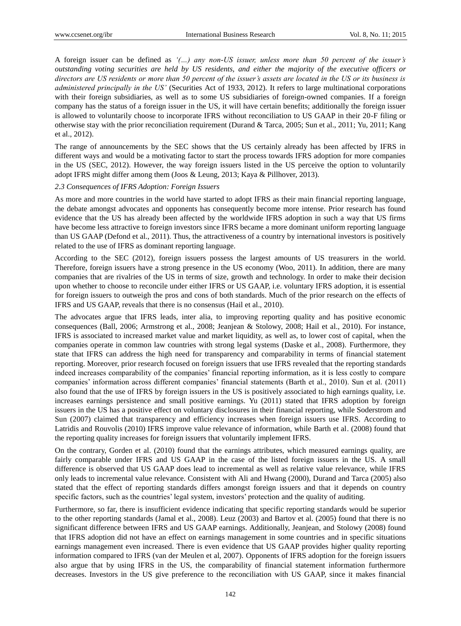A foreign issuer can be defined as *"(…) any non-US issuer, unless more than 50 percent of the issuer"s outstanding voting securities are held by US residents, and either the majority of the executive officers or directors are US residents or more than 50 percent of the issuer"s assets are located in the US or its business is administered principally in the US"* (Securities Act of 1933, 2012). It refers to large multinational corporations with their foreign subsidiaries, as well as to some US subsidiaries of foreign-owned companies. If a foreign company has the status of a foreign issuer in the US, it will have certain benefits; additionally the foreign issuer is allowed to voluntarily choose to incorporate IFRS without reconciliation to US GAAP in their 20-F filing or otherwise stay with the prior reconciliation requirement (Durand & Tarca, 2005; Sun et al., 2011; Yu, 2011; Kang et al., 2012).

The range of announcements by the SEC shows that the US certainly already has been affected by IFRS in different ways and would be a motivating factor to start the process towards IFRS adoption for more companies in the US (SEC, 2012). However, the way foreign issuers listed in the US perceive the option to voluntarily adopt IFRS might differ among them (Joos & Leung, 2013; Kaya & Pillhover, 2013).

#### *2.3 Consequences of IFRS Adoption: Foreign Issuers*

As more and more countries in the world have started to adopt IFRS as their main financial reporting language, the debate amongst advocates and opponents has consequently become more intense. Prior research has found evidence that the US has already been affected by the worldwide IFRS adoption in such a way that US firms have become less attractive to foreign investors since IFRS became a more dominant uniform reporting language than US GAAP (Defond et al., 2011). Thus, the attractiveness of a country by international investors is positively related to the use of IFRS as dominant reporting language.

According to the SEC (2012), foreign issuers possess the largest amounts of US treasurers in the world. Therefore, foreign issuers have a strong presence in the US economy (Woo, 2011). In addition, there are many companies that are rivalries of the US in terms of size, growth and technology. In order to make their decision upon whether to choose to reconcile under either IFRS or US GAAP, i.e. voluntary IFRS adoption, it is essential for foreign issuers to outweigh the pros and cons of both standards. Much of the prior research on the effects of IFRS and US GAAP, reveals that there is no consensus (Hail et al., 2010).

The advocates argue that IFRS leads, inter alia, to improving reporting quality and has positive economic consequences (Ball, 2006; Armstrong et al., 2008; Jeanjean & Stolowy, 2008; Hail et al., 2010). For instance, IFRS is associated to increased market value and market liquidity, as well as, to lower cost of capital, when the companies operate in common law countries with strong legal systems (Daske et al., 2008). Furthermore, they state that IFRS can address the high need for transparency and comparability in terms of financial statement reporting. Moreover, prior research focused on foreign issuers that use IFRS revealed that the reporting standards indeed increases comparability of the companies' financial reporting information, as it is less costly to compare companies' information across different companies' financial statements (Barth et al., 2010). Sun et al. (2011) also found that the use of IFRS by foreign issuers in the US is positively associated to high earnings quality, i.e. increases earnings persistence and small positive earnings. Yu (2011) stated that IFRS adoption by foreign issuers in the US has a positive effect on voluntary disclosures in their financial reporting, while Soderstrom and Sun (2007) claimed that transparency and efficiency increases when foreign issuers use IFRS. According to Latridis and Rouvolis (2010) IFRS improve value relevance of information, while Barth et al. (2008) found that the reporting quality increases for foreign issuers that voluntarily implement IFRS.

On the contrary, Gorden et al. (2010) found that the earnings attributes, which measured earnings quality, are fairly comparable under IFRS and US GAAP in the case of the listed foreign issuers in the US. A small difference is observed that US GAAP does lead to incremental as well as relative value relevance, while IFRS only leads to incremental value relevance. Consistent with Ali and Hwang (2000), Durand and Tarca (2005) also stated that the effect of reporting standards differs amongst foreign issuers and that it depends on country specific factors, such as the countries' legal system, investors' protection and the quality of auditing.

Furthermore, so far, there is insufficient evidence indicating that specific reporting standards would be superior to the other reporting standards (Jamal et al., 2008). Leuz (2003) and Bartov et al. (2005) found that there is no significant difference between IFRS and US GAAP earnings. Additionally, Jeanjean, and Stolowy (2008) found that IFRS adoption did not have an effect on earnings management in some countries and in specific situations earnings management even increased. There is even evidence that US GAAP provides higher quality reporting information compared to IFRS (van der Meulen et al, 2007). Opponents of IFRS adoption for the foreign issuers also argue that by using IFRS in the US, the comparability of financial statement information furthermore decreases. Investors in the US give preference to the reconciliation with US GAAP, since it makes financial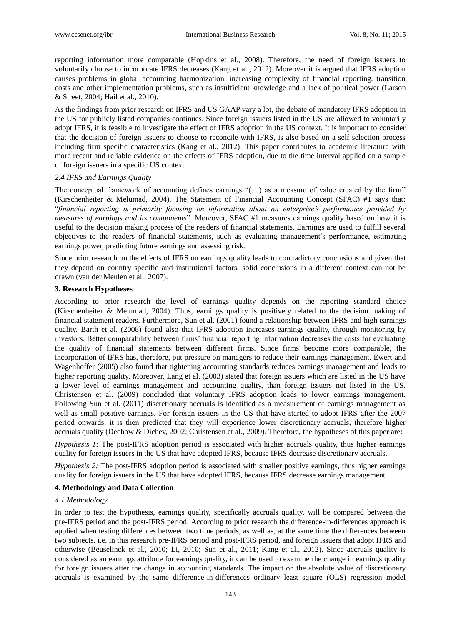reporting information more comparable (Hopkins et al., 2008). Therefore, the need of foreign issuers to voluntarily choose to incorporate IFRS decreases (Kang et al., 2012). Moreover it is argued that IFRS adoption causes problems in global accounting harmonization, increasing complexity of financial reporting, transition costs and other implementation problems, such as insufficient knowledge and a lack of political power (Larson & Street, 2004; Hail et al., 2010).

As the findings from prior research on IFRS and US GAAP vary a lot, the debate of mandatory IFRS adoption in the US for publicly listed companies continues. Since foreign issuers listed in the US are allowed to voluntarily adopt IFRS, it is feasible to investigate the effect of IFRS adoption in the US context. It is important to consider that the decision of foreign issuers to choose to reconcile with IFRS, is also based on a self selection process including firm specific characteristics (Kang et al., 2012). This paper contributes to academic literature with more recent and reliable evidence on the effects of IFRS adoption, due to the time interval applied on a sample of foreign issuers in a specific US context.

## *2.4 IFRS and Earnings Quality*

The conceptual framework of accounting defines earnings "(…) as a measure of value created by the firm'' (Kirschenheiter & Melumad, 2004). The Statement of Financial Accounting Concept (SFAC) #1 says that: "*financial reporting is primarily focusing on information about an enterprise"s performance provided by measures of earnings and its components*". Moreover, SFAC #1 measures earnings quality based on how it is useful to the decision making process of the readers of financial statements. Earnings are used to fulfill several objectives to the readers of financial statements, such as evaluating management's performance, estimating earnings power, predicting future earnings and assessing risk.

Since prior research on the effects of IFRS on earnings quality leads to contradictory conclusions and given that they depend on country specific and institutional factors, solid conclusions in a different context can not be drawn (van der Meulen et al., 2007).

## **3. Research Hypotheses**

According to prior research the level of earnings quality depends on the reporting standard choice (Kirschenheiter & Melumad, 2004). Thus, earnings quality is positively related to the decision making of financial statement readers. Furthermore, Sun et al. (2001) found a relationship between IFRS and high earnings quality. Barth et al. (2008) found also that IFRS adoption increases earnings quality, through monitoring by investors. Better comparability between firms' financial reporting information decreases the costs for evaluating the quality of financial statements between different firms. Since firms become more comparable, the incorporation of IFRS has, therefore, put pressure on managers to reduce their earnings management. Ewert and Wagenhoffer (2005) also found that tightening accounting standards reduces earnings management and leads to higher reporting quality. Moreover, Lang et al. (2003) stated that foreign issuers which are listed in the US have a lower level of earnings management and accounting quality, than foreign issuers not listed in the US. Christensen et al. (2009) concluded that voluntary IFRS adoption leads to lower earnings management. Following Sun et al. (2011) discretionary accruals is identified as a measurement of earnings management as well as small positive earnings. For foreign issuers in the US that have started to adopt IFRS after the 2007 period onwards, it is then predicted that they will experience lower discretionary accruals, therefore higher accruals quality (Dechow & Dichev, 2002; Christensen et al., 2009). Therefore, the hypotheses of this paper are:

*Hypothesis 1:* The post-IFRS adoption period is associated with higher accruals quality, thus higher earnings quality for foreign issuers in the US that have adopted IFRS, because IFRS decrease discretionary accruals.

*Hypothesis 2:* The post-IFRS adoption period is associated with smaller positive earnings, thus higher earnings quality for foreign issuers in the US that have adopted IFRS, because IFRS decrease earnings management.

#### **4. Methodology and Data Collection**

#### *4.1 Methodology*

In order to test the hypothesis, earnings quality, specifically accruals quality, will be compared between the pre-IFRS period and the post-IFRS period. According to prior research the difference-in-differences approach is applied when testing differences between two time periods, as well as, at the same time the differences between two subjects, i.e. in this research pre-IFRS period and post-IFRS period, and foreign issuers that adopt IFRS and otherwise (Beuselinck et al., 2010; Li, 2010; Sun et al., 2011; Kang et al., 2012). Since accruals quality is considered as an earnings attribute for earnings quality, it can be used to examine the change in earnings quality for foreign issuers after the change in accounting standards. The impact on the absolute value of discretionary accruals is examined by the same difference-in-differences ordinary least square (OLS) regression model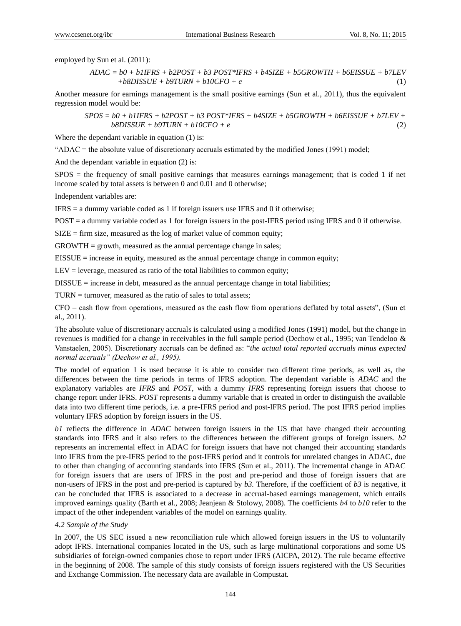employed by Sun et al. (2011):

$$
ADAC = b0 + b1IFRS + b2POST + b3 POST*IFRS + b4SIZE + b5GROWTH + b6EISSUE + b7LEV + b8DISSUE + b9TURN + b10CFO + e
$$
 (1)

Another measure for earnings management is the small positive earnings (Sun et al., 2011), thus the equivalent regression model would be:

$$
SPOS = b0 + bIIFRS + b2POST + b3 POST*IFRS + b4SIZE + b5 GROWTH + b6EISSUE + b7LEV + b8DISSUE + b9TURN + b10CFO + e
$$
\n(2)

Where the dependant variable in equation (1) is:

"ADAC = the absolute value of discretionary accruals estimated by the modified Jones (1991) model;

And the dependant variable in equation (2) is:

SPOS = the frequency of small positive earnings that measures earnings management; that is coded 1 if net income scaled by total assets is between 0 and 0.01 and 0 otherwise;

Independent variables are:

IFRS = a dummy variable coded as 1 if foreign issuers use IFRS and 0 if otherwise;

POST = a dummy variable coded as 1 for foreign issuers in the post-IFRS period using IFRS and 0 if otherwise.

 $SIZE = firm size$ , measured as the log of market value of common equity;

GROWTH = growth, measured as the annual percentage change in sales;

EISSUE = increase in equity, measured as the annual percentage change in common equity;

 $LEV =$  leverage, measured as ratio of the total liabilities to common equity;

DISSUE = increase in debt, measured as the annual percentage change in total liabilities;

TURN = turnover, measured as the ratio of sales to total assets;

CFO = cash flow from operations, measured as the cash flow from operations deflated by total assets", (Sun et al., 2011).

The absolute value of discretionary accruals is calculated using a modified Jones (1991) model, but the change in revenues is modified for a change in receivables in the full sample period (Dechow et al., 1995; van Tendeloo & Vanstaelen, 2005). Discretionary accruals can be defined as: "*the actual total reported accruals minus expected normal accruals" (Dechow et al., 1995).*

The model of equation 1 is used because it is able to consider two different time periods, as well as, the differences between the time periods in terms of IFRS adoption. The dependant variable is *ADAC* and the explanatory variables are *IFRS* and *POST*, with a dummy *IFRS* representing foreign issuers that choose to change report under IFRS. *POST* represents a dummy variable that is created in order to distinguish the available data into two different time periods, i.e. a pre-IFRS period and post-IFRS period. The post IFRS period implies voluntary IFRS adoption by foreign issuers in the US.

*b1* reflects the difference in *ADAC* between foreign issuers in the US that have changed their accounting standards into IFRS and it also refers to the differences between the different groups of foreign issuers. *b2* represents an incremental effect in ADAC for foreign issuers that have not changed their accounting standards into IFRS from the pre-IFRS period to the post-IFRS period and it controls for unrelated changes in ADAC, due to other than changing of accounting standards into IFRS (Sun et al., 2011). The incremental change in ADAC for foreign issuers that are users of IFRS in the post and pre-period and those of foreign issuers that are non-users of IFRS in the post and pre-period is captured by *b3.* Therefore, if the coefficient of *b3* is negative, it can be concluded that IFRS is associated to a decrease in accrual-based earnings management, which entails improved earnings quality (Barth et al., 2008; Jeanjean & Stolowy, 2008). The coefficients *b4* to *b10* refer to the impact of the other independent variables of the model on earnings quality.

## *4.2 Sample of the Study*

In 2007, the US SEC issued a new reconciliation rule which allowed foreign issuers in the US to voluntarily adopt IFRS. International companies located in the US, such as large multinational corporations and some US subsidiaries of foreign-owned companies chose to report under IFRS (AICPA, 2012). The rule became effective in the beginning of 2008. The sample of this study consists of foreign issuers registered with the US Securities and Exchange Commission. The necessary data are available in Compustat.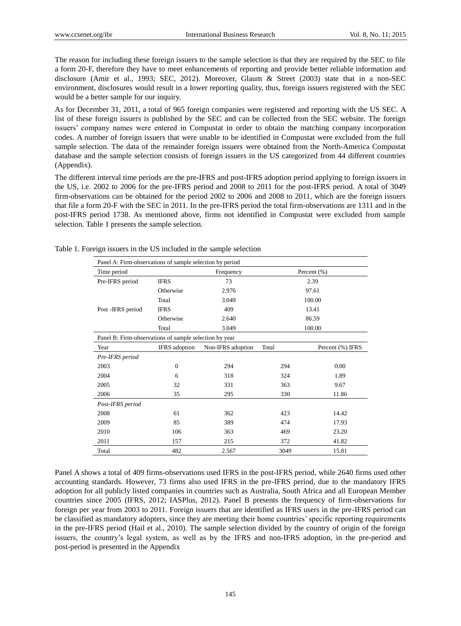The reason for including these foreign issuers to the sample selection is that they are required by the SEC to file a form 20-F, therefore they have to meet enhancements of reporting and provide better reliable information and disclosure (Amir et al., 1993; SEC, 2012). Moreover, Glaum & Street (2003) state that in a non-SEC environment, disclosures would result in a lower reporting quality, thus, foreign issuers registered with the SEC would be a better sample for our inquiry.

As for December 31, 2011, a total of 965 foreign companies were registered and reporting with the US SEC. A list of these foreign issuers is published by the SEC and can be collected from the SEC website. The foreign issuers' company names were entered in Compustat in order to obtain the matching company incorporation codes. A number of foreign issuers that were unable to be identified in Compustat were excluded from the full sample selection. The data of the remainder foreign issuers were obtained from the North-America Compustat database and the sample selection consists of foreign issuers in the US categorized from 44 different countries (Appendix).

The different interval time periods are the pre-IFRS and post-IFRS adoption period applying to foreign issuers in the US, i.e. 2002 to 2006 for the pre-IFRS period and 2008 to 2011 for the post-IFRS period. A total of 3049 firm-observations can be obtained for the period 2002 to 2006 and 2008 to 2011, which are the foreign issuers that file a form 20-F with the SEC in 2011. In the pre-IFRS period the total firm-observations are 1311 and in the post-IFRS period 1738. As mentioned above, firms not identified in Compustat were excluded from sample selection. Table 1 presents the sample selection.

| Panel A: Firm-observations of sample selection by period |                |                   |       |                  |  |  |  |  |
|----------------------------------------------------------|----------------|-------------------|-------|------------------|--|--|--|--|
| Percent $(\% )$<br>Time period<br>Frequency              |                |                   |       |                  |  |  |  |  |
| Pre-IFRS period                                          | <b>IFRS</b>    |                   |       | 2.39             |  |  |  |  |
|                                                          | Otherwise      | 2.976             |       | 97.61            |  |  |  |  |
|                                                          | Total          | 3.049             |       | 100.00           |  |  |  |  |
| Post -IFRS period                                        | <b>IFRS</b>    | 409               |       | 13.41            |  |  |  |  |
|                                                          | Otherwise      | 2.640             |       | 86.59            |  |  |  |  |
|                                                          | Total          | 3.049             |       | 100.00           |  |  |  |  |
| Panel B: Firm-observations of sample selection by year   |                |                   |       |                  |  |  |  |  |
| Year                                                     | IFRS adoption  | Non-IFRS adoption | Total | Percent (%) IFRS |  |  |  |  |
| Pre-IFRS period                                          |                |                   |       |                  |  |  |  |  |
| 2003                                                     | $\overline{0}$ | 294               | 294   | 0.00             |  |  |  |  |
| 2004                                                     | 6              | 318               | 324   | 1.89             |  |  |  |  |
| 2005                                                     | 32             | 331               | 363   | 9.67             |  |  |  |  |
| 2006                                                     | 35             | 295               | 330   | 11.86            |  |  |  |  |
| Post-IFRS period                                         |                |                   |       |                  |  |  |  |  |
| 2008                                                     | 61             | 362               | 423   | 14.42            |  |  |  |  |
| 2009                                                     | 85             | 389               | 474   | 17.93            |  |  |  |  |
| 2010                                                     | 106            | 363               | 469   | 23.20            |  |  |  |  |
| 2011                                                     | 157            | 215               | 372   | 41.82            |  |  |  |  |
| Total                                                    | 482            | 2.567             | 3049  | 15.81            |  |  |  |  |

Table 1. Foreign issuers in the US included in the sample selection

Panel A shows a total of 409 firms-observations used IFRS in the post-IFRS period, while 2640 firms used other accounting standards. However, 73 firms also used IFRS in the pre-IFRS period, due to the mandatory IFRS adoption for all publicly listed companies in countries such as Australia, South Africa and all European Member countries since 2005 (IFRS, 2012; IASPlus, 2012). Panel B presents the frequency of firm-observations for foreign per year from 2003 to 2011. Foreign issuers that are identified as IFRS users in the pre-IFRS period can be classified as mandatory adopters, since they are meeting their home countries' specific reporting requirements in the pre-IFRS period (Hail et al., 2010). The sample selection divided by the country of origin of the foreign issuers, the country's legal system, as well as by the IFRS and non-IFRS adoption, in the pre-period and post-period is presented in the Appendix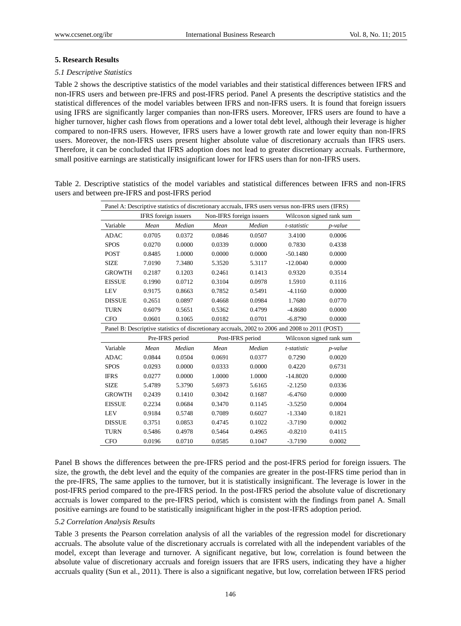#### **5. Research Results**

#### *5.1 Descriptive Statistics*

Table 2 shows the descriptive statistics of the model variables and their statistical differences between IFRS and non-IFRS users and between pre-IFRS and post-IFRS period. Panel A presents the descriptive statistics and the statistical differences of the model variables between IFRS and non-IFRS users. It is found that foreign issuers using IFRS are significantly larger companies than non-IFRS users. Moreover, IFRS users are found to have a higher turnover, higher cash flows from operations and a lower total debt level, although their leverage is higher compared to non-IFRS users. However, IFRS users have a lower growth rate and lower equity than non-IFRS users. Moreover, the non-IFRS users present higher absolute value of discretionary accruals than IFRS users. Therefore, it can be concluded that IFRS adoption does not lead to greater discretionary accruals. Furthermore, small positive earnings are statistically insignificant lower for IFRS users than for non-IFRS users.

Table 2. Descriptive statistics of the model variables and statistical differences between IFRS and non-IFRS users and between pre-IFRS and post-IFRS period

| Panel A: Descriptive statistics of discretionary accruals, IFRS users versus non-IFRS users (IFRS) |        |                 |        |                  |                                                                                                 |                          |  |  |  |  |
|----------------------------------------------------------------------------------------------------|--------|-----------------|--------|------------------|-------------------------------------------------------------------------------------------------|--------------------------|--|--|--|--|
| IFRS foreign issuers<br>Non-IFRS foreign issuers<br>Wilcoxon signed rank sum                       |        |                 |        |                  |                                                                                                 |                          |  |  |  |  |
| Variable                                                                                           | Mean   | Median          | Mean   | Median           | t-statistic                                                                                     | p-value                  |  |  |  |  |
| <b>ADAC</b>                                                                                        | 0.0705 | 0.0372          | 0.0846 | 0.0507           | 3.4100                                                                                          | 0.0006                   |  |  |  |  |
| <b>SPOS</b>                                                                                        | 0.0270 | 0.0000          | 0.0339 | 0.0000           | 0.7830                                                                                          | 0.4338                   |  |  |  |  |
| <b>POST</b>                                                                                        | 0.8485 | 1.0000          | 0.0000 | 0.0000           | $-50.1480$                                                                                      | 0.0000                   |  |  |  |  |
| <b>SIZE</b>                                                                                        | 7.0190 | 7.3480          | 5.3520 | 5.3117           | $-12.0040$                                                                                      | 0.0000                   |  |  |  |  |
| <b>GROWTH</b>                                                                                      | 0.2187 | 0.1203          | 0.2461 | 0.1413           | 0.9320                                                                                          | 0.3514                   |  |  |  |  |
| <b>EISSUE</b>                                                                                      | 0.1990 | 0.0712          | 0.3104 | 0.0978           | 1.5910                                                                                          | 0.1116                   |  |  |  |  |
| <b>LEV</b>                                                                                         | 0.9175 | 0.8663          | 0.7852 | 0.5491           | $-4.1160$                                                                                       | 0.0000                   |  |  |  |  |
| <b>DISSUE</b>                                                                                      | 0.2651 | 0.0897          | 0.4668 | 0.0984           | 1.7680                                                                                          | 0.0770                   |  |  |  |  |
| <b>TURN</b>                                                                                        | 0.6079 | 0.5651          | 0.5362 | 0.4799           | $-4.8680$                                                                                       | 0.0000                   |  |  |  |  |
| <b>CFO</b>                                                                                         | 0.0601 | 0.1065          | 0.0182 | 0.0701           | $-6.8790$                                                                                       | 0.0000                   |  |  |  |  |
|                                                                                                    |        |                 |        |                  | Panel B: Descriptive statistics of discretionary accruals, 2002 to 2006 and 2008 to 2011 (POST) |                          |  |  |  |  |
|                                                                                                    |        | Pre-IFRS period |        | Post-IFRS period |                                                                                                 | Wilcoxon signed rank sum |  |  |  |  |
| Variable                                                                                           | Mean   | Median          | Mean   | Median           | t-statistic                                                                                     | p-value                  |  |  |  |  |
| <b>ADAC</b>                                                                                        | 0.0844 | 0.0504          | 0.0691 | 0.0377           | 0.7290                                                                                          | 0.0020                   |  |  |  |  |
| <b>SPOS</b>                                                                                        | 0.0293 | 0.0000          | 0.0333 | 0.0000           | 0.4220                                                                                          | 0.6731                   |  |  |  |  |
| <b>IFRS</b>                                                                                        | 0.0277 | 0.0000          | 1.0000 | 1.0000           | $-14.8020$                                                                                      | 0.0000                   |  |  |  |  |
| <b>SIZE</b>                                                                                        | 5.4789 | 5.3790          | 5.6973 | 5.6165           | $-2.1250$                                                                                       | 0.0336                   |  |  |  |  |
| <b>GROWTH</b>                                                                                      | 0.2439 | 0.1410          | 0.3042 | 0.1687           | $-6.4760$                                                                                       | 0.0000                   |  |  |  |  |
| <b>EISSUE</b>                                                                                      | 0.2234 | 0.0684          | 0.3470 | 0.1145           | $-3.5250$                                                                                       | 0.0004                   |  |  |  |  |
| <b>LEV</b>                                                                                         | 0.9184 | 0.5748          | 0.7089 | 0.6027           | $-1.3340$                                                                                       | 0.1821                   |  |  |  |  |
| <b>DISSUE</b>                                                                                      | 0.3751 | 0.0853          | 0.4745 | 0.1022           | $-3.7190$                                                                                       | 0.0002                   |  |  |  |  |
| <b>TURN</b>                                                                                        | 0.5486 | 0.4978          | 0.5464 | 0.4965           | $-0.8210$                                                                                       | 0.4115                   |  |  |  |  |
| <b>CFO</b>                                                                                         | 0.0196 | 0.0710          | 0.0585 | 0.1047           | $-3.7190$                                                                                       | 0.0002                   |  |  |  |  |

Panel B shows the differences between the pre-IFRS period and the post-IFRS period for foreign issuers. The size, the growth, the debt level and the equity of the companies are greater in the post-IFRS time period than in the pre-IFRS, The same applies to the turnover, but it is statistically insignificant. The leverage is lower in the post-IFRS period compared to the pre-IFRS period. In the post-IFRS period the absolute value of discretionary accruals is lower compared to the pre-IFRS period, which is consistent with the findings from panel A. Small positive earnings are found to be statistically insignificant higher in the post-IFRS adoption period.

### *5.2 Correlation Analysis Results*

Table 3 presents the Pearson correlation analysis of all the variables of the regression model for discretionary accruals. The absolute value of the discretionary accruals is correlated with all the independent variables of the model, except than leverage and turnover. A significant negative, but low, correlation is found between the absolute value of discretionary accruals and foreign issuers that are IFRS users, indicating they have a higher accruals quality (Sun et al., 2011). There is also a significant negative, but low, correlation between IFRS period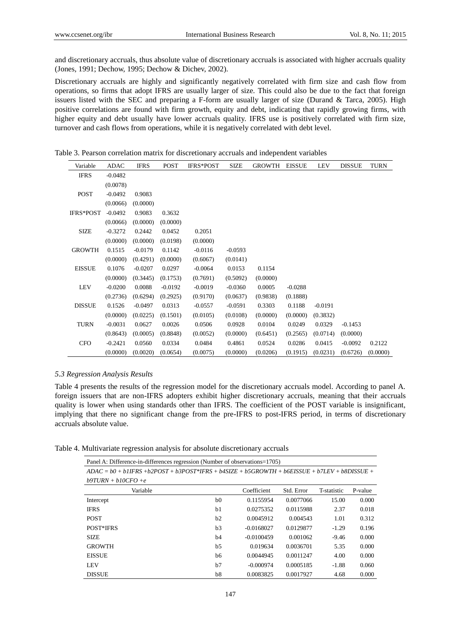and discretionary accruals, thus absolute value of discretionary accruals is associated with higher accruals quality (Jones, 1991; Dechow, 1995; Dechow & Dichev, 2002).

Discretionary accruals are highly and significantly negatively correlated with firm size and cash flow from operations, so firms that adopt IFRS are usually larger of size. This could also be due to the fact that foreign issuers listed with the SEC and preparing a F-form are usually larger of size (Durand & Tarca, 2005). High positive correlations are found with firm growth, equity and debt, indicating that rapidly growing firms, with higher equity and debt usually have lower accruals quality. IFRS use is positively correlated with firm size, turnover and cash flows from operations, while it is negatively correlated with debt level.

| Variable      | ADAC      | <b>IFRS</b> | <b>POST</b> | <b>IFRS*POST</b> | <b>SIZE</b> | <b>GROWTH</b> | <b>EISSUE</b> | LEV       | <b>DISSUE</b> | <b>TURN</b> |
|---------------|-----------|-------------|-------------|------------------|-------------|---------------|---------------|-----------|---------------|-------------|
| <b>IFRS</b>   | $-0.0482$ |             |             |                  |             |               |               |           |               |             |
|               | (0.0078)  |             |             |                  |             |               |               |           |               |             |
| <b>POST</b>   | $-0.0492$ | 0.9083      |             |                  |             |               |               |           |               |             |
|               | (0.0066)  | (0.0000)    |             |                  |             |               |               |           |               |             |
| IFRS*POST     | $-0.0492$ | 0.9083      | 0.3632      |                  |             |               |               |           |               |             |
|               | (0.0066)  | (0.0000)    | (0.0000)    |                  |             |               |               |           |               |             |
| <b>SIZE</b>   | $-0.3272$ | 0.2442      | 0.0452      | 0.2051           |             |               |               |           |               |             |
|               | (0.0000)  | (0.0000)    | (0.0198)    | (0.0000)         |             |               |               |           |               |             |
| <b>GROWTH</b> | 0.1515    | $-0.0179$   | 0.1142      | $-0.0116$        | $-0.0593$   |               |               |           |               |             |
|               | (0.0000)  | (0.4291)    | (0.0000)    | (0.6067)         | (0.0141)    |               |               |           |               |             |
| <b>EISSUE</b> | 0.1076    | $-0.0207$   | 0.0297      | $-0.0064$        | 0.0153      | 0.1154        |               |           |               |             |
|               | (0.0000)  | (0.3445)    | (0.1753)    | (0.7691)         | (0.5092)    | (0.0000)      |               |           |               |             |
| <b>LEV</b>    | $-0.0200$ | 0.0088      | $-0.0192$   | $-0.0019$        | $-0.0360$   | 0.0005        | $-0.0288$     |           |               |             |
|               | (0.2736)  | (0.6294)    | (0.2925)    | (0.9170)         | (0.0637)    | (0.9838)      | (0.1888)      |           |               |             |
| <b>DISSUE</b> | 0.1526    | $-0.0497$   | 0.0313      | $-0.0557$        | $-0.0591$   | 0.3303        | 0.1188        | $-0.0191$ |               |             |
|               | (0.0000)  | (0.0225)    | (0.1501)    | (0.0105)         | (0.0108)    | (0.0000)      | (0.0000)      | (0.3832)  |               |             |
| <b>TURN</b>   | $-0.0031$ | 0.0627      | 0.0026      | 0.0506           | 0.0928      | 0.0104        | 0.0249        | 0.0329    | $-0.1453$     |             |
|               | (0.8643)  | (0.0005)    | (0.8848)    | (0.0052)         | (0.0000)    | (0.6451)      | (0.2565)      | (0.0714)  | (0.0000)      |             |
| <b>CFO</b>    | $-0.2421$ | 0.0560      | 0.0334      | 0.0484           | 0.4861      | 0.0524        | 0.0286        | 0.0415    | $-0.0092$     | 0.2122      |
|               | (0.0000)  | (0.0020)    | (0.0654)    | (0.0075)         | (0.0000)    | (0.0206)      | (0.1915)      | (0.0231)  | (0.6726)      | (0.0000)    |

Table 3. Pearson correlation matrix for discretionary accruals and independent variables

#### *5.3 Regression Analysis Results*

Table 4 presents the results of the regression model for the discretionary accruals model. According to panel A. foreign issuers that are non-IFRS adopters exhibit higher discretionary accruals, meaning that their accruals quality is lower when using standards other than IFRS. The coefficient of the POST variable is insignificant, implying that there no significant change from the pre-IFRS to post-IFRS period, in terms of discretionary accruals absolute value.

Table 4. Multivariate regression analysis for absolute discretionary accruals

| Panel A: Difference-in-differences regression (Number of observations=1705)                     |                |              |           |         |       |  |  |  |
|-------------------------------------------------------------------------------------------------|----------------|--------------|-----------|---------|-------|--|--|--|
| $ADAC = b0 + bIIFRS + b2POST + b3POST*IFRS + b4SIZE + b5GROWTH + b6EISSUE + b7LEV + b8DISSUE +$ |                |              |           |         |       |  |  |  |
| $b9TURN + b10CFO + e$                                                                           |                |              |           |         |       |  |  |  |
| Variable<br>Coefficient<br>Std. Error<br>P-value<br>T-statistic                                 |                |              |           |         |       |  |  |  |
| Intercept                                                                                       | b <sub>0</sub> | 0.1155954    | 0.0077066 | 15.00   | 0.000 |  |  |  |
| <b>IFRS</b>                                                                                     | b1             | 0.0275352    | 0.0115988 | 2.37    | 0.018 |  |  |  |
| <b>POST</b>                                                                                     | b2             | 0.0045912    | 0.004543  | 1.01    | 0.312 |  |  |  |
| POST*IFRS                                                                                       | b3             | $-0.0168027$ | 0.0129877 | $-1.29$ | 0.196 |  |  |  |
| <b>SIZE</b>                                                                                     | h4             | $-0.0100459$ | 0.001062  | -9.46   | 0.000 |  |  |  |
| <b>GROWTH</b>                                                                                   | b <sub>5</sub> | 0.019634     | 0.0036701 | 5.35    | 0.000 |  |  |  |
| <b>EISSUE</b>                                                                                   | b6             | 0.0044945    | 0.0011247 | 4.00    | 0.000 |  |  |  |
| <b>LEV</b>                                                                                      | h7             | $-0.000974$  | 0.0005185 | $-1.88$ | 0.060 |  |  |  |
| <b>DISSUE</b>                                                                                   | b8             | 0.0083825    | 0.0017927 | 4.68    | 0.000 |  |  |  |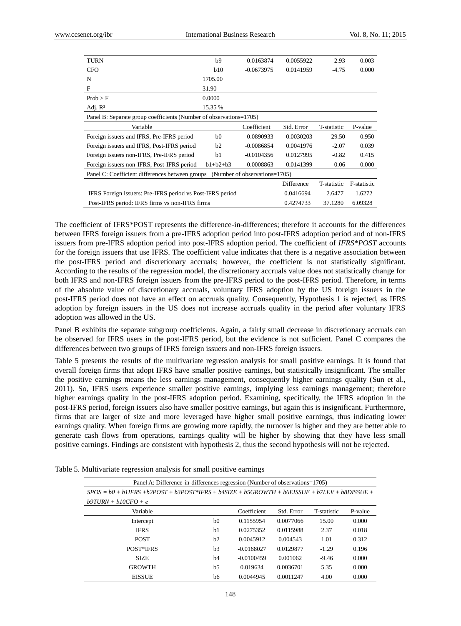| <b>TURN</b>                                                        | h <sup>9</sup> | 0.0163874                     | 0.0055922  | 2.93        | 0.003       |
|--------------------------------------------------------------------|----------------|-------------------------------|------------|-------------|-------------|
| <b>CFO</b>                                                         | b10            | $-0.0673975$                  | 0.0141959  | $-4.75$     | 0.000       |
| N                                                                  | 1705.00        |                               |            |             |             |
| F                                                                  | 31.90          |                               |            |             |             |
| Prob > F                                                           | 0.0000         |                               |            |             |             |
| Adj. $R^2$                                                         | 15.35 %        |                               |            |             |             |
| Panel B: Separate group coefficients (Number of observations=1705) |                |                               |            |             |             |
| Variable                                                           |                | Coefficient                   | Std. Error | T-statistic | P-value     |
| Foreign issuers and IFRS, Pre-IFRS period                          | b <sub>0</sub> | 0.0890933                     | 0.0030203  | 29.50       | 0.950       |
| Foreign issuers and IFRS, Post-IFRS period                         | b2             | $-0.0086854$                  | 0.0041976  | $-2.07$     | 0.039       |
| Foreign issuers non-IFRS, Pre-IFRS period                          | b1             | $-0.0104356$                  | 0.0127995  | $-0.82$     | 0.415       |
| Foreign issuers non-IFRS, Post-IFRS period                         | $b1+b2+b3$     | $-0.0008863$                  | 0.0141399  | $-0.06$     | 0.000       |
| Panel C: Coefficient differences between groups                    |                | (Number of observations=1705) |            |             |             |
|                                                                    |                |                               | Difference | T-statistic | F-statistic |
| IFRS Foreign issuers: Pre-IFRS period vs Post-IFRS period          |                |                               | 0.0416694  | 2.6477      | 1.6272      |
| Post-IFRS period: IFRS firms vs non-IFRS firms                     |                |                               | 0.4274733  | 37.1280     | 6.09328     |

The coefficient of IFRS\*POST represents the difference-in-differences; therefore it accounts for the differences between IFRS foreign issuers from a pre-IFRS adoption period into post-IFRS adoption period and of non-IFRS issuers from pre-IFRS adoption period into post-IFRS adoption period. The coefficient of *IFRS\*POST* accounts for the foreign issuers that use IFRS. The coefficient value indicates that there is a negative association between the post-IFRS period and discretionary accruals; however, the coefficient is not statistically significant. According to the results of the regression model, the discretionary accruals value does not statistically change for both IFRS and non-IFRS foreign issuers from the pre-IFRS period to the post-IFRS period. Therefore, in terms of the absolute value of discretionary accruals, voluntary IFRS adoption by the US foreign issuers in the post-IFRS period does not have an effect on accruals quality. Consequently, Hypothesis 1 is rejected, as IFRS adoption by foreign issuers in the US does not increase accruals quality in the period after voluntary IFRS adoption was allowed in the US.

Panel B exhibits the separate subgroup coefficients. Again, a fairly small decrease in discretionary accruals can be observed for IFRS users in the post-IFRS period, but the evidence is not sufficient. Panel C compares the differences between two groups of IFRS foreign issuers and non-IFRS foreign issuers.

Table 5 presents the results of the multivariate regression analysis for small positive earnings. It is found that overall foreign firms that adopt IFRS have smaller positive earnings, but statistically insignificant. The smaller the positive earnings means the less earnings management, consequently higher earnings quality (Sun et al., 2011). So, IFRS users experience smaller positive earnings, implying less earnings management; therefore higher earnings quality in the post-IFRS adoption period. Examining, specifically, the IFRS adoption in the post-IFRS period, foreign issuers also have smaller positive earnings, but again this is insignificant. Furthermore, firms that are larger of size and more leveraged have higher small positive earnings, thus indicating lower earnings quality. When foreign firms are growing more rapidly, the turnover is higher and they are better able to generate cash flows from operations, earnings quality will be higher by showing that they have less small positive earnings. Findings are consistent with hypothesis 2, thus the second hypothesis will not be rejected.

| Panel A: Difference-in-differences regression (Number of observations=1705)                       |                |              |            |             |         |  |  |  |
|---------------------------------------------------------------------------------------------------|----------------|--------------|------------|-------------|---------|--|--|--|
| $SPOS = b0 + bIIFRS + b2POST + b3POST*IFRS + b4SIZE + b5 GROWTH + b6 EISSUE + b7LEV + b8DISSUE +$ |                |              |            |             |         |  |  |  |
| $b9TURN + b10CFO + e$                                                                             |                |              |            |             |         |  |  |  |
| Variable                                                                                          |                | Coefficient  | Std. Error | T-statistic | P-value |  |  |  |
| Intercept                                                                                         | b <sub>0</sub> | 0.1155954    | 0.0077066  | 15.00       | 0.000   |  |  |  |
| <b>IFRS</b>                                                                                       | h1             | 0.0275352    | 0.0115988  | 2.37        | 0.018   |  |  |  |
| <b>POST</b>                                                                                       | h2             | 0.0045912    | 0.004543   | 1.01        | 0.312   |  |  |  |
| POST*IFRS                                                                                         | h <sub>3</sub> | $-0.0168027$ | 0.0129877  | $-1.29$     | 0.196   |  |  |  |
| <b>SIZE</b>                                                                                       | b4             | $-0.0100459$ | 0.001062   | $-9.46$     | 0.000   |  |  |  |
| <b>GROWTH</b>                                                                                     | b5             | 0.019634     | 0.0036701  | 5.35        | 0.000   |  |  |  |
| <b>EISSUE</b>                                                                                     | b6             | 0.0044945    | 0.0011247  | 4.00        | 0.000   |  |  |  |

Table 5. Multivariate regression analysis for small positive earnings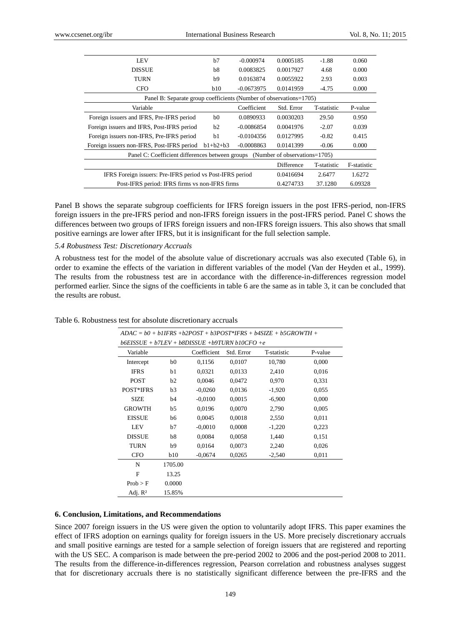| LEV                                                                | b7             | $-0.000974$  | 0.0005185                     | $-1.88$     | 0.060   |  |  |
|--------------------------------------------------------------------|----------------|--------------|-------------------------------|-------------|---------|--|--|
| <b>DISSUE</b>                                                      | b8             | 0.0083825    | 0.0017927                     | 4.68        | 0.000   |  |  |
| TURN                                                               | b9             | 0.0163874    | 0.0055922                     | 2.93        | 0.003   |  |  |
| <b>CFO</b>                                                         | b10            | $-0.0673975$ | 0.0141959                     | $-4.75$     | 0.000   |  |  |
| Panel B: Separate group coefficients (Number of observations=1705) |                |              |                               |             |         |  |  |
| Variable                                                           |                | Coefficient  | Std. Error                    | T-statistic | P-value |  |  |
| Foreign issuers and IFRS, Pre-IFRS period                          | b <sub>0</sub> | 0.0890933    | 0.0030203                     | 29.50       | 0.950   |  |  |
| Foreign issuers and IFRS, Post-IFRS period                         | b2             | $-0.0086854$ | 0.0041976                     | $-2.07$     | 0.039   |  |  |
| Foreign issuers non-IFRS, Pre-IFRS period                          | b1             | $-0.0104356$ | 0.0127995                     | $-0.82$     | 0.415   |  |  |
| Foreign issuers non-IFRS, Post-IFRS period                         | $b1+b2+b3$     | $-0.0008863$ | 0.0141399                     | $-0.06$     | 0.000   |  |  |
| Panel C: Coefficient differences between groups                    |                |              | (Number of observations=1705) |             |         |  |  |
| <b>Difference</b><br>T-statistic<br>F-statistic                    |                |              |                               |             |         |  |  |
| IFRS Foreign issuers: Pre-IFRS period vs Post-IFRS period          |                | 0.0416694    | 2.6477                        | 1.6272      |         |  |  |
| Post-IFRS period: IFRS firms vs non-IFRS firms                     |                |              | 0.4274733                     | 37.1280     | 6.09328 |  |  |

Panel B shows the separate subgroup coefficients for IFRS foreign issuers in the post IFRS-period, non-IFRS foreign issuers in the pre-IFRS period and non-IFRS foreign issuers in the post-IFRS period. Panel C shows the differences between two groups of IFRS foreign issuers and non-IFRS foreign issuers. This also shows that small positive earnings are lower after IFRS, but it is insignificant for the full selection sample.

### *5.4 Robustness Test: Discretionary Accruals*

A robustness test for the model of the absolute value of discretionary accruals was also executed (Table 6), in order to examine the effects of the variation in different variables of the model (Van der Heyden et al., 1999). The results from the robustness test are in accordance with the difference-in-differences regression model performed earlier. Since the signs of the coefficients in table 6 are the same as in table 3, it can be concluded that the results are robust.

| $ADAC = b0 + b1IFRS + b2POST + b3POST*IFRS + b4SIZE + b5 GROWTH +$ |                |             |            |             |         |  |  |  |  |
|--------------------------------------------------------------------|----------------|-------------|------------|-------------|---------|--|--|--|--|
| $b6EISSUE + b7LEV + b8DISSUE + b9TURN b10CFO + e$                  |                |             |            |             |         |  |  |  |  |
| Variable                                                           |                | Coefficient | Std. Error | T-statistic | P-value |  |  |  |  |
| Intercept                                                          | b <sub>0</sub> | 0,1156      | 0,0107     | 10,780      | 0,000   |  |  |  |  |
| <b>IFRS</b>                                                        | b1             | 0,0321      | 0,0133     | 2,410       | 0.016   |  |  |  |  |
| <b>POST</b>                                                        | b2             | 0,0046      | 0,0472     | 0,970       | 0,331   |  |  |  |  |
| POST*IFRS                                                          | b3             | $-0,0260$   | 0,0136     | $-1,920$    | 0.055   |  |  |  |  |
| <b>SIZE</b>                                                        | b4             | $-0,0100$   | 0,0015     | $-6,900$    | 0,000   |  |  |  |  |
| <b>GROWTH</b>                                                      | b5             | 0,0196      | 0,0070     | 2,790       | 0,005   |  |  |  |  |
| <b>EISSUE</b>                                                      | b6             | 0.0045      | 0,0018     | 2,550       | 0,011   |  |  |  |  |
| <b>LEV</b>                                                         | b7             | $-0,0010$   | 0,0008     | $-1,220$    | 0,223   |  |  |  |  |
| <b>DISSUE</b>                                                      | b8             | 0.0084      | 0,0058     | 1,440       | 0,151   |  |  |  |  |
| <b>TURN</b>                                                        | b9             | 0,0164      | 0,0073     | 2,240       | 0,026   |  |  |  |  |
| <b>CFO</b>                                                         | b10            | $-0.0674$   | 0,0265     | $-2,540$    | 0,011   |  |  |  |  |
| N                                                                  | 1705.00        |             |            |             |         |  |  |  |  |
| $\mathbf{F}$                                                       | 13.25          |             |            |             |         |  |  |  |  |
| Prob > F                                                           | 0.0000         |             |            |             |         |  |  |  |  |
| Adj. $R^2$                                                         | 15.85%         |             |            |             |         |  |  |  |  |

Table 6. Robustness test for absolute discretionary accruals

## **6. Conclusion, Limitations, and Recommendations**

Since 2007 foreign issuers in the US were given the option to voluntarily adopt IFRS. This paper examines the effect of IFRS adoption on earnings quality for foreign issuers in the US. More precisely discretionary accruals and small positive earnings are tested for a sample selection of foreign issuers that are registered and reporting with the US SEC. A comparison is made between the pre-period 2002 to 2006 and the post-period 2008 to 2011. The results from the difference-in-differences regression, Pearson correlation and robustness analyses suggest that for discretionary accruals there is no statistically significant difference between the pre-IFRS and the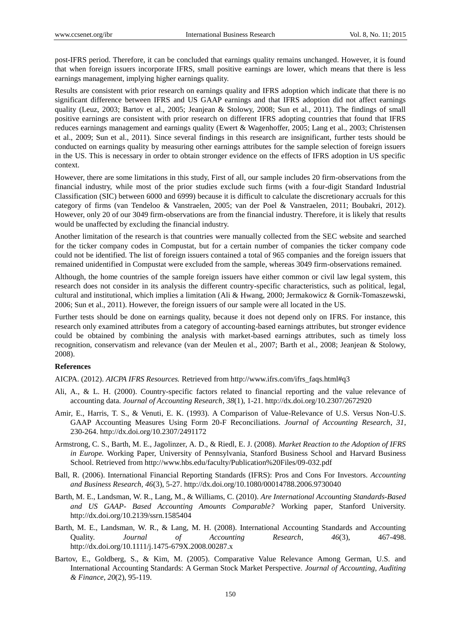post-IFRS period. Therefore, it can be concluded that earnings quality remains unchanged. However, it is found that when foreign issuers incorporate IFRS, small positive earnings are lower, which means that there is less earnings management, implying higher earnings quality.

Results are consistent with prior research on earnings quality and IFRS adoption which indicate that there is no significant difference between IFRS and US GAAP earnings and that IFRS adoption did not affect earnings quality (Leuz, 2003; Bartov et al., 2005; Jeanjean & Stolowy, 2008; Sun et al., 2011). The findings of small positive earnings are consistent with prior research on different IFRS adopting countries that found that IFRS reduces earnings management and earnings quality (Ewert & Wagenhoffer, 2005; Lang et al., 2003; Christensen et al., 2009; Sun et al., 2011). Since several findings in this research are insignificant, further tests should be conducted on earnings quality by measuring other earnings attributes for the sample selection of foreign issuers in the US. This is necessary in order to obtain stronger evidence on the effects of IFRS adoption in US specific context.

However, there are some limitations in this study, First of all, our sample includes 20 firm-observations from the financial industry, while most of the prior studies exclude such firms (with a four-digit Standard Industrial Classification (SIC) between 6000 and 6999) because it is difficult to calculate the discretionary accruals for this category of firms (van Tendeloo & Vanstraelen, 2005; van der Poel & Vanstraelen, 2011; Boubakri, 2012). However, only 20 of our 3049 firm-observations are from the financial industry. Therefore, it is likely that results would be unaffected by excluding the financial industry.

Another limitation of the research is that countries were manually collected from the SEC website and searched for the ticker company codes in Compustat, but for a certain number of companies the ticker company code could not be identified. The list of foreign issuers contained a total of 965 companies and the foreign issuers that remained unidentified in Compustat were excluded from the sample, whereas 3049 firm-observations remained.

Although, the home countries of the sample foreign issuers have either common or civil law legal system, this research does not consider in its analysis the different country-specific characteristics, such as political, legal, cultural and institutional, which implies a limitation (Ali & Hwang, 2000; Jermakowicz & Gornik-Tomaszewski, 2006; Sun et al., 2011). However, the foreign issuers of our sample were all located in the US.

Further tests should be done on earnings quality, because it does not depend only on IFRS. For instance, this research only examined attributes from a category of accounting-based earnings attributes, but stronger evidence could be obtained by combining the analysis with market-based earnings attributes, such as timely loss recognition, conservatism and relevance (van der Meulen et al., 2007; Barth et al., 2008; Jeanjean & Stolowy, 2008).

#### **References**

AICPA. (2012). *AICPA IFRS Resources.* Retrieved from [http://www.ifrs.com/ifrs\\_faqs.html#q3](http://www.ifrs.com/ifrs_faqs.html#q3)

- Ali, A., & L. H. (2000). Country-specific factors related to financial reporting and the value relevance of accounting data. *Journal of Accounting Research*, *38*(1), 1-21[. http://dx.doi.org/10.2307/2672920](http://dx.doi.org/10.2307/2672920)
- Amir, E., Harris, T. S., & Venuti, E. K. (1993). A Comparison of Value-Relevance of U.S. Versus Non-U.S. GAAP Accounting Measures Using Form 20-F Reconciliations. *Journal of Accounting Research*, *31*, 230-264.<http://dx.doi.org/10.2307/2491172>
- Armstrong, C. S., Barth, M. E., Jagolinzer, A. D., & Riedl, E. J. (2008). *Market Reaction to the Adoption of IFRS in Europe.* Working Paper, University of Pennsylvania, Stanford Business School and Harvard Business School. Retrieved from<http://www.hbs.edu/faculty/Publication%20Files/09-032.pdf>
- Ball, R. (2006). International Financial Reporting Standards (IFRS): Pros and Cons For Investors. *Accounting and Business Research, 46*(3), 5-27[. http://dx.doi.org/10.1080/00014788.2006.9730040](http://dx.doi.org/10.1080/00014788.2006.9730040)
- Barth, M. E., Landsman, W. R., Lang, M., & Williams, C. (2010). *Are International Accounting Standards-Based and US GAAP- Based Accounting Amounts Comparable?* Working paper, Stanford University. http://dx.doi.org/10.2139/ssrn.1585404
- Barth, M. E., Landsman, W. R., & Lang, M. H. (2008). International Accounting Standards and Accounting Quality. *Journal of Accounting Research*, *46*(3), 467-498. <http://dx.doi.org/10.1111/j.1475-679X.2008.00287.x>
- Bartov, E., Goldberg, S., & Kim, M. (2005). Comparative Value Relevance Among German, U.S. and International Accounting Standards: A German Stock Market Perspective. *Journal of Accounting, Auditing & Finance*, *20*(2), 95-119.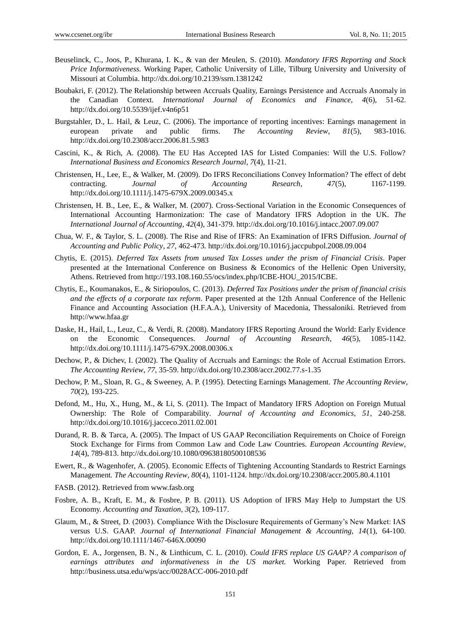- Beuselinck, C., Joos, P., Khurana, I. K., & van der Meulen, S. (2010). *Mandatory IFRS Reporting and Stock Price Informativeness.* Working Paper, Catholic University of Lille, Tilburg University and University of Missouri at Columbia. http://dx.doi.org/10.2139/ssrn.1381242
- Boubakri, F. (2012). The Relationship between Accruals Quality, Earnings Persistence and Accruals Anomaly in the Canadian Context. *International Journal of Economics and Finance*, *4*(6), 51-62. http://dx.doi.org/10.5539/ijef.v4n6p51
- Burgstahler, D., L. Hail, & Leuz, C. (2006). The importance of reporting incentives: Earnings management in european private and public firms. *The Accounting Review*, *81*(5), 983-1016. <http://dx.doi.org/10.2308/accr.2006.81.5.983>
- Cascini, K., & Rich, A. (2008). The EU Has Accepted IAS for Listed Companies: Will the U.S. Follow? *International Business and Economics Research Journal*, *7*(4), 11-21.
- Christensen, H., Lee, E., & Walker, M. (2009). Do IFRS Reconciliations Convey Information? The effect of debt contracting. *Journal of Accounting Research, 47*(5), 1167-1199. <http://dx.doi.org/10.1111/j.1475-679X.2009.00345.x>
- Christensen, H. B., Lee, E., & Walker, M. (2007). Cross-Sectional Variation in the Economic Consequences of International Accounting Harmonization: The case of Mandatory IFRS Adoption in the UK. *The International Journal of Accounting*, *42*(4), 341-379.<http://dx.doi.org/10.1016/j.intacc.2007.09.007>
- Chua, W. F., & Taylor, S. L. (2008). The Rise and Rise of IFRS: An Examination of IFRS Diffusion. *Journal of Accounting and Public Policy*, *27,* 462-473.<http://dx.doi.org/10.1016/j.jaccpubpol.2008.09.004>
- Chytis, E. (2015). *Deferred Tax Assets from unused Tax Losses under the prism of Financial Crisis*. Paper presented at the International Conference on Business & Economics of the Hellenic Open University, Athens. Retrieved from [http://193.108.160.55/ocs/index.php/ICBE-HOU\\_2015/ICBE.](http://193.108.160.55/ocs/index.php/ICBE-HOU_2015/ICBE)
- Chytis, E., Koumanakos, E., & Siriopoulos, C. (2013). *Deferred Tax Positions under the prism of financial crisis and the effects of a corporate tax reform*. Paper presented at the 12th Annual Conference of the Hellenic Finance and Accounting Association (H.F.A.A.), University of Macedonia, Thessaloniki. Retrieved from [http://www.hfaa.gr](http://www.hfaa.gr/)
- Daske, H., Hail, L., Leuz, C., & Verdi, R. (2008). Mandatory IFRS Reporting Around the World: Early Evidence on the Economic Consequences. *Journal of Accounting Research, 46*(5), 1085-1142. <http://dx.doi.org/10.1111/j.1475-679X.2008.00306.x>
- Dechow, P., & Dichev, I. (2002). The Quality of Accruals and Earnings: the Role of Accrual Estimation Errors. *The Accounting Review*, *77*, 35-59. http://dx.doi.org/10.2308/accr.2002.77.s-1.35
- Dechow, P. M., Sloan, R. G., & Sweeney, A. P. (1995). Detecting Earnings Management. *The Accounting Review*, *70*(2), 193-225.
- Defond, M., Hu, X., Hung, M., & Li, S. (2011). The Impact of Mandatory IFRS Adoption on Foreign Mutual Ownership: The Role of Comparability*. Journal of Accounting and Economics*, *51*, 240-258. <http://dx.doi.org/10.1016/j.jacceco.2011.02.001>
- Durand, R. B. & Tarca, A. (2005). The Impact of US GAAP Reconciliation Requirements on Choice of Foreign Stock Exchange for Firms from Common Law and Code Law Countries. *European Accounting Review*, *14*(4), 789-813.<http://dx.doi.org/10.1080/09638180500108536>
- Ewert, R., & Wagenhofer, A. (2005). Economic Effects of Tightening Accounting Standards to Restrict Earnings Management*. The Accounting Review*, *80*(4), 1101-1124[. http://dx.doi.org/10.2308/accr.2005.80.4.1101](http://dx.doi.org/10.2308/accr.2005.80.4.1101)
- FASB. (2012). Retrieved from www.fasb.org
- Fosbre, A. B., Kraft, E. M., & Fosbre, P. B. (2011). US Adoption of IFRS May Help to Jumpstart the US Economy. *Accounting and Taxation*, *3*(2), 109-117.
- Glaum, M., & Street, D. (2003). Compliance With the Disclosure Requirements of Germany's New Market: IAS versus U.S. GAAP. *Journal of International Financial Management & Accounting, 14*(1), 64-100. <http://dx.doi.org/10.1111/1467-646X.00090>
- Gordon, E. A., Jorgensen, B. N., & Linthicum, C. L. (2010). *Could IFRS replace US GAAP? A comparison of earnings attributes and informativeness in the US market.* Working Paper. Retrieved from <http://business.utsa.edu/wps/acc/0028ACC-006-2010.pdf>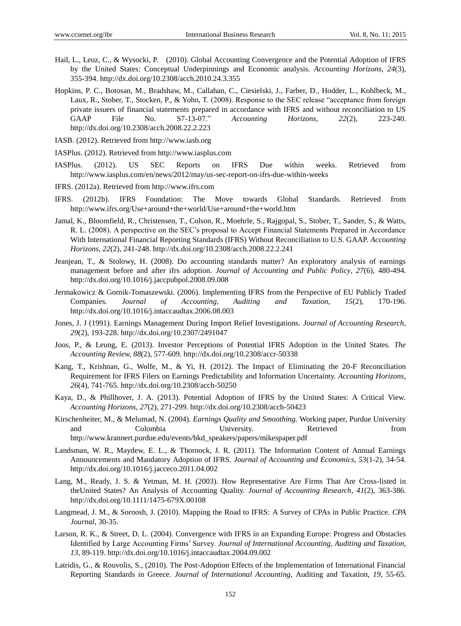- Hail, L., Leuz, C., & Wysocki, P. (2010). Global Accounting Convergence and the Potential Adoption of IFRS by the United States: Conceptual Underpinnings and Economic analysis. *Accounting Horizons*, *24*(3), 355-394.<http://dx.doi.org/10.2308/acch.2010.24.3.355>
- Hopkins, P. C., Botosan, M., Bradshaw, M., Callahan, C., Ciesielski, J., Farber, D., Hodder, L., Kohlbeck, M., Laux, R., Stober, T., Stocken, P., & Yohn, T. (2008). Response to the SEC release "acceptance from foreign private issuers of financial statements prepared in accordance with IFRS and without reconciliation to US GAAP File No. S7-13-07." *Accounting Horizons*, *22*(2), 223-240. <http://dx.doi.org/10.2308/acch.2008.22.2.223>
- IASB. (2012). Retrieved from http://www.iasb.org
- IASPlus. (2012). Retrieved from http://www.iasplus.com
- IASPlus. (2012). US SEC Reports on IFRS Due within weeks. Retrieved from http://www.iasplus.com/en/news/2012/may/us-sec-report-on-ifrs-due-within-weeks
- IFRS. (2012a). Retrieved from http://www.ifrs.com
- IFRS. (2012b). IFRS Foundation: The Move towards Global Standards. Retrieved from http://www.ifrs.org/Use+around+the+world/Use+around+the+world.htm
- Jamal, K., Bloomfield, R., Christensen, T., Colson, R., Moehrle, S., Rajgopal, S., Stober, T., Sander, S., & Watts, R. L. (2008). A perspective on the SEC's proposal to Accept Financial Statements Prepared in Accordance With International Financial Reporting Standards (IFRS) Without Reconciliation to U.S. GAAP. *Accounting Horizons*, *22*(2), 241-248[. http://dx.doi.org/10.2308/acch.2008.22.2.241](http://dx.doi.org/10.2308/acch.2008.22.2.241)
- Jeanjean, T., & Stolowy, H. (2008). Do accounting standards matter? An exploratory analysis of earnings management before and after ifrs adoption. *Journal of Accounting and Public Policy*, *27*(6), 480-494. <http://dx.doi.org/10.1016/j.jaccpubpol.2008.09.008>
- Jermakowicz & Gornik-Tomaszewski. (2006). Implementing IFRS from the Perspective of EU Publicly Traded Companies. *Journal of Accounting, Auditing and Taxation*, *15*(2), 170-196. <http://dx.doi.org/10.1016/j.intaccaudtax.2006.08.003>
- Jones, J. J (1991). Earnings Management During Import Relief Investigations. *Journal of Accounting Research*, *29*(2), 193-228.<http://dx.doi.org/10.2307/2491047>
- Joos, P., & Leung, E. (2013). Investor Perceptions of Potential IFRS Adoption in the United States. *The Accounting Review, 88*(2), 577-609. http://dx.doi.org/10.2308/accr-50338
- Kang, T., Krishnan, G., Wolfe, M., & Yi, H. (2012). The Impact of Eliminating the 20-F Reconciliation Requirement for IFRS Filers on Earnings Predictability and Information Uncertainty. *Accounting Horizons*, *26*(4), 741-765.<http://dx.doi.org/10.2308/acch-50250>
- Kaya, D., & Phillhover, J. A. (2013). Potential Adoption of IFRS by the United States: A Critical View. *Accounting Horizons*, *27*(2), 271-299. http://dx.doi.org/10.2308/acch-50423
- Kirschenheiter, M., & Melumad, N. (2004). *Earnings Quality and Smoothing.* Working paper, Purdue University and Colombia University. Retrieved from [http://www.krannert.purdue.edu/events/bkd\\_speakers/papers/mikespaper.pdf](http://www.krannert.purdue.edu/events/bkd_speakers/papers/mikespaper.pdf)
- Landsman, W. R., Maydew, E. L., & Thornock, J. R. (2011). The Information Content of Annual Earnings Announcements and Mandatory Adoption of IFRS. *Journal of Accounting and Economics*, *53*(1-2), 34-54. <http://dx.doi.org/10.1016/j.jacceco.2011.04.002>
- Lang, M., Ready, J. S. & Yetman, M. H. (2003). How Representative Are Firms That Are Cross-listed in theUnited States? An Analysis of Accounting Quality. *Journal of Accounting Research*, *41*(2), 363-386. <http://dx.doi.org/10.1111/1475-679X.00108>
- Langmead, J. M., & Soroosh, J. (2010). Mapping the Road to IFRS: A Survey of CPAs in Public Practice. *CPA Journal*, 30-35.
- Larson, R. K., & Street, D. L. (2004). Convergence with IFRS in an Expanding Europe: Progress and Obstacles Identified by Large Accounting Firms' Survey. *Journal of International Accounting, Auditing and Taxation, 13*, 89-119.<http://dx.doi.org/10.1016/j.intaccaudtax.2004.09.002>
- Latridis, G., & Rouvolis, S., (2010). The Post-Adoption Effects of the Implementation of International Financial Reporting Standards in Greece. *Journal of International Accounting*, Auditing and Taxation, *19*, 55-65.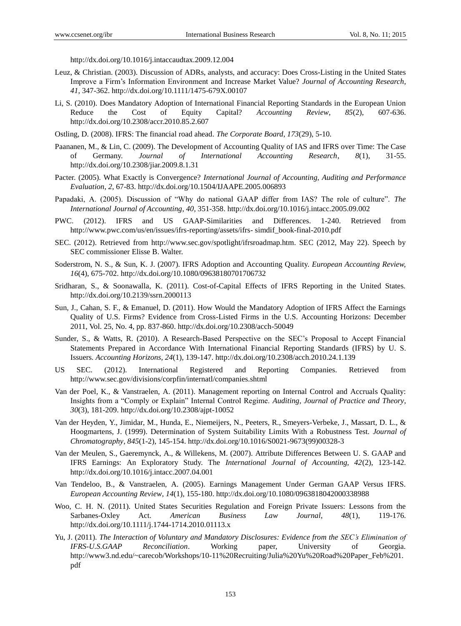http://dx.doi.org/10.1016/j.intaccaudtax.2009.12.004

- Leuz, & Christian. (2003). Discussion of ADRs, analysts, and accuracy: Does Cross-Listing in the United States Improve a Firm's Information Environment and Increase Market Value? *Journal of Accounting Research, 41,* 347-362.<http://dx.doi.org/10.1111/1475-679X.00107>
- Li, S. (2010). Does Mandatory Adoption of International Financial Reporting Standards in the European Union Reduce the Cost of Equity Capital? *Accounting Review*, *85*(2), 607-636. <http://dx.doi.org/10.2308/accr.2010.85.2.607>
- Ostling, D. (2008). IFRS: The financial road ahead. *The Corporate Board*, *173*(29), 5-10.
- Paananen, M., & Lin, C. (2009). The Development of Accounting Quality of IAS and IFRS over Time: The Case of Germany. *Journal of International Accounting Research*, *8*(1), 31-55. <http://dx.doi.org/10.2308/jiar.2009.8.1.31>
- Pacter. (2005). What Exactly is Convergence? *International Journal of Accounting, Auditing and Performance Evaluation*, *2*, 67-83.<http://dx.doi.org/10.1504/IJAAPE.2005.006893>
- Papadaki, A. (2005). Discussion of "Why do national GAAP differ from IAS? The role of culture". *The International Journal of Accounting*, *40,* 351-358.<http://dx.doi.org/10.1016/j.intacc.2005.09.002>
- PWC. (2012). IFRS and US GAAP-Similarities and Differences. 1-240. Retrieved from http://www.pwc.com/us/en/issues/ifrs-reporting/assets/ifrs- simdif\_book-final-2010.pdf
- SEC. (2012). Retrieved from [http://www.sec.gov/spotlight/ifrsroadmap.htm.](http://www.sec.gov/spotlight/ifrsroadmap.htm) SEC (2012, May 22). Speech by SEC commissioner Elisse B. Walter.
- Soderstrom, N. S., & Sun, K. J. (2007). IFRS Adoption and Accounting Quality. *European Accounting Review, 16*(4), 675-702.<http://dx.doi.org/10.1080/09638180701706732>
- Sridharan, S., & Soonawalla, K. (2011). Cost-of-Capital Effects of IFRS Reporting in the United States. http://dx.doi.org/10.2139/ssrn.2000113
- Sun, J., Cahan, S. F., & Emanuel, D. (2011). How Would the Mandatory Adoption of IFRS Affect the Earnings Quality of U.S. Firms? Evidence from Cross-Listed Firms in the U.S. Accounting Horizons: December 2011, Vol. 25, No. 4, pp. 837-860[. http://dx.doi.org/10.2308/acch-50049](http://dx.doi.org/10.2308/acch-50049)
- Sunder, S., & Watts, R. (2010). A Research-Based Perspective on the SEC's Proposal to Accept Financial Statements Prepared in Accordance With International Financial Reporting Standards (IFRS) by U. S. Issuers*. Accounting Horizons, 24*(1), 139-147.<http://dx.doi.org/10.2308/acch.2010.24.1.139>
- US SEC. (2012). International Registered and Reporting Companies. Retrieved from http://www.sec.gov/divisions/corpfin/internatl/companies.shtml
- Van der Poel, K., & Vanstraelen, A. (2011). Management reporting on Internal Control and Accruals Quality: Insights from a "Comply or Explain" Internal Control Regime. *Auditing, Journal of Practice and Theory*, *30*(3), 181-209.<http://dx.doi.org/10.2308/ajpt-10052>
- Van der Heyden, Y., Jimidar, M., Hunda, E., Niemeijers, N., Peeters, R., Smeyers-Verbeke, J., Massart, D. L., & Hoogmartens, J. (1999). Determination of System Suitability Limits With a Robustness Test. *Journal of Chromatography*, *845*(1-2), 145-154[. http://dx.doi.org/10.1016/S0021-9673\(99\)00328-3](http://dx.doi.org/10.1016/S0021-9673(99)00328-3)
- Van der Meulen, S., Gaeremynck, A., & Willekens, M. (2007). Attribute Differences Between U. S. GAAP and IFRS Earnings: An Exploratory Study. The *International Journal of Accounting, 42*(2), 123-142. <http://dx.doi.org/10.1016/j.intacc.2007.04.001>
- Van Tendeloo, B., & Vanstraelen, A. (2005). Earnings Management Under German GAAP Versus IFRS. *European Accounting Review*, *14*(1), 155-180.<http://dx.doi.org/10.1080/0963818042000338988>
- Woo, C. H. N. (2011). United States Securities Regulation and Foreign Private Issuers: Lessons from the Sarbanes-Oxley Act. *American Business Law Journal*, *48*(1), 119-176. <http://dx.doi.org/10.1111/j.1744-1714.2010.01113.x>
- Yu, J. (2011). *The Interaction of Voluntary and Mandatory Disclosures: Evidence from the SEC's Elimination of IFRS-U.S.GAAP Reconciliation*. Working paper, University of Georgia. [http://www3.nd.edu/~carecob/Workshops/10-11%20Recruiting/Julia%20Yu%20Road%20Paper\\_Feb%201.](http://www3.nd.edu/~carecob/Workshops/10-11%20Recruiting/Julia%20Yu%20Road%20Paper_Feb%201.pdf) [pdf](http://www3.nd.edu/~carecob/Workshops/10-11%20Recruiting/Julia%20Yu%20Road%20Paper_Feb%201.pdf)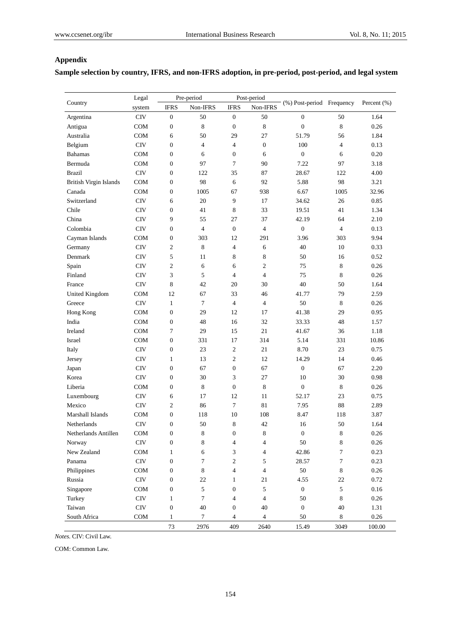## **Appendix**

|  |  | Sample selection by country, IFRS, and non-IFRS adoption, in pre-period, post-period, and legal system |  |  |  |
|--|--|--------------------------------------------------------------------------------------------------------|--|--|--|
|  |  |                                                                                                        |  |  |  |

|                        | Legal      |                  | Pre-period     |                         | Post-period    |                           |                  |                 |
|------------------------|------------|------------------|----------------|-------------------------|----------------|---------------------------|------------------|-----------------|
| Country                | system     | <b>IFRS</b>      | Non-IFRS       | <b>IFRS</b>             | Non-IFRS       | (%) Post-period Frequency |                  | Percent $(\% )$ |
| Argentina              | <b>CIV</b> | $\boldsymbol{0}$ | 50             | $\boldsymbol{0}$        | 50             | $\overline{0}$            | 50               | 1.64            |
| Antigua                | <b>COM</b> | $\boldsymbol{0}$ | 8              | $\boldsymbol{0}$        | 8              | $\mathbf{0}$              | 8                | 0.26            |
| Australia              | COM        | 6                | 50             | 29                      | 27             | 51.79                     | 56               | 1.84            |
| Belgium                | <b>CIV</b> | $\overline{0}$   | $\overline{4}$ | 4                       | $\overline{0}$ | 100                       | $\overline{4}$   | 0.13            |
| <b>Bahamas</b>         | <b>COM</b> | $\mathbf{0}$     | 6              | 0                       | 6              | $\mathbf{0}$              | 6                | 0.20            |
| Bermuda                | <b>COM</b> | $\mathbf{0}$     | 97             | 7                       | 90             | 7.22                      | 97               | 3.18            |
| <b>Brazil</b>          | <b>CIV</b> | $\mathbf{0}$     | 122            | 35                      | 87             | 28.67                     | 122              | 4.00            |
| British Virgin Islands | <b>COM</b> | $\mathbf{0}$     | 98             | 6                       | 92             | 5.88                      | 98               | 3.21            |
| Canada                 | <b>COM</b> | $\overline{0}$   | 1005           | 67                      | 938            | 6.67                      | 1005             | 32.96           |
| Switzerland            | <b>CIV</b> | 6                | 20             | 9                       | 17             | 34.62                     | 26               | 0.85            |
| Chile                  | <b>CIV</b> | $\mathbf{0}$     | 41             | 8                       | 33             | 19.51                     | 41               | 1.34            |
| China                  | <b>CIV</b> | 9                | 55             | 27                      | 37             | 42.19                     | 64               | 2.10            |
| Colombia               | <b>CIV</b> | $\mathbf{0}$     | $\overline{4}$ | $\mathbf{0}$            | $\overline{4}$ | $\mathbf{0}$              | $\overline{4}$   | 0.13            |
| Cayman Islands         | <b>COM</b> | $\boldsymbol{0}$ | 303            | 12                      | 291            | 3.96                      | 303              | 9.94            |
| Germany                | <b>CIV</b> | $\mathfrak{2}$   | 8              | 4                       | 6              | 40                        | 10               | 0.33            |
| Denmark                | <b>CIV</b> | 5                | 11             | 8                       | 8              | 50                        | 16               | 0.52            |
| Spain                  | <b>CIV</b> | $\mathfrak{2}$   | 6              | 6                       | 2              | 75                        | 8                | 0.26            |
| Finland                | <b>CIV</b> | 3                | 5              | 4                       | $\overline{4}$ | 75                        | 8                | 0.26            |
| France                 | <b>CIV</b> | 8                | 42             | 20                      | 30             | 40                        | 50               | 1.64            |
| United Kingdom         | <b>COM</b> | 12               | 67             | 33                      | 46             | 41.77                     | 79               | 2.59            |
| Greece                 | <b>CIV</b> | $\mathbf{1}$     | $\tau$         | 4                       | $\overline{4}$ | 50                        | 8                | 0.26            |
| Hong Kong              | <b>COM</b> | $\mathbf{0}$     | 29             | 12                      | 17             | 41.38                     | 29               | 0.95            |
| India                  | <b>COM</b> | $\boldsymbol{0}$ | 48             | 16                      | 32             | 33.33                     | 48               | 1.57            |
| Ireland                | <b>COM</b> | 7                | 29             | 15                      | 21             | 41.67                     | 36               | 1.18            |
| Israel                 | COM        | $\boldsymbol{0}$ | 331            | 17                      | 314            | 5.14                      | 331              | 10.86           |
| Italy                  | <b>CIV</b> | $\boldsymbol{0}$ | 23             | 2                       | 21             | 8.70                      | 23               | 0.75            |
| Jersey                 | <b>CIV</b> | $\mathbf{1}$     | 13             | 2                       | 12             | 14.29                     | 14               | 0.46            |
| Japan                  | <b>CIV</b> | $\mathbf{0}$     | 67             | $\boldsymbol{0}$        | 67             | $\mathbf{0}$              | 67               | 2.20            |
| Korea                  | <b>CIV</b> | $\mathbf{0}$     | 30             | 3                       | 27             | 10                        | 30               | 0.98            |
| Liberia                | <b>COM</b> | $\overline{0}$   | 8              | $\mathbf{0}$            | 8              | $\mathbf{0}$              | 8                | 0.26            |
| Luxembourg             | <b>CIV</b> | 6                | 17             | 12                      | 11             | 52.17                     | 23               | 0.75            |
| Mexico                 | <b>CIV</b> | 2                | 86             | 7                       | 81             | 7.95                      | 88               | 2.89            |
| Marshall Islands       | <b>COM</b> | $\mathbf{0}$     | 118            | 10                      | 108            | 8.47                      | 118              | 3.87            |
| Netherlands            | <b>CIV</b> | $\boldsymbol{0}$ | 50             | 8                       | 42             | 16                        | 50               | 1.64            |
| Netherlands Antillen   | COM        | $\theta$         | 8              | 0                       | 8              | $\mathbf{0}$              | 8                | 0.26            |
| Norway                 | CIV        | $\boldsymbol{0}$ | 8              | 4                       | 4              | 50                        | 8                | 0.26            |
| New Zealand            | COM        | $\mathbf{1}$     | 6              | 3                       | 4              | 42.86                     | $\boldsymbol{7}$ | 0.23            |
| Panama                 | $\rm CIV$  | $\boldsymbol{0}$ | 7              | $\mathbf{c}$            | 5              | 28.57                     | $\boldsymbol{7}$ | 0.23            |
| Philippines            | COM        | $\boldsymbol{0}$ | $\,8\,$        | 4                       | 4              | 50                        | 8                | 0.26            |
| Russia                 | $\rm CIV$  | $\boldsymbol{0}$ | 22             | $\mathbf{1}$            | 21             | 4.55                      | 22               | 0.72            |
| Singapore              | COM        | $\boldsymbol{0}$ | 5              | $\boldsymbol{0}$        | 5              | $\boldsymbol{0}$          | $\sqrt{5}$       | $0.16\,$        |
| Turkey                 | CIV        | 1                | $\tau$         | 4                       | $\overline{4}$ | 50                        | $\,8\,$          | 0.26            |
| Taiwan                 | $\rm CIV$  | $\boldsymbol{0}$ | 40             | 0                       | 40             | $\boldsymbol{0}$          | 40               | 1.31            |
| South Africa           | <b>COM</b> | $\mathbf{1}$     | $\tau$         | $\overline{\mathbf{4}}$ | $\overline{4}$ | 50                        | $\,8\,$          | 0.26            |
|                        |            | 73               | 2976           | 409                     | 2640           | 15.49                     | 3049             | 100.00          |

*Notes.* CIV: Civil Law.

COM: Common Law.